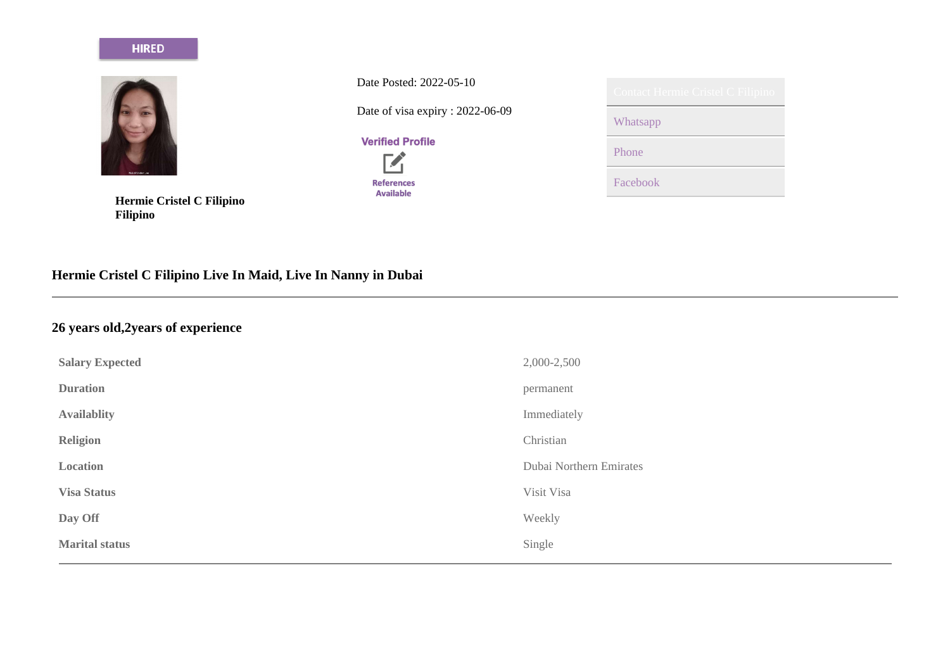#### **HIRED**



**Hermie Cristel C Filipino Filipino**

Date Posted: 2022-05-10

Date of visa expiry : 2022-06-09

### **Verified Profile**



| Contact Hermie Cristel C Filipino |
|-----------------------------------|
| Whatsapp                          |
| Phone                             |
| Facebook                          |

# **Hermie Cristel C Filipino Live In Maid, Live In Nanny in Dubai**

## **26 years old,2years of experience**

| <b>Salary Expected</b> | 2,000-2,500             |
|------------------------|-------------------------|
| <b>Duration</b>        | permanent               |
| <b>Availablity</b>     | Immediately             |
| <b>Religion</b>        | Christian               |
| Location               | Dubai Northern Emirates |
| <b>Visa Status</b>     | Visit Visa              |
| Day Off                | Weekly                  |
| <b>Marital status</b>  | Single                  |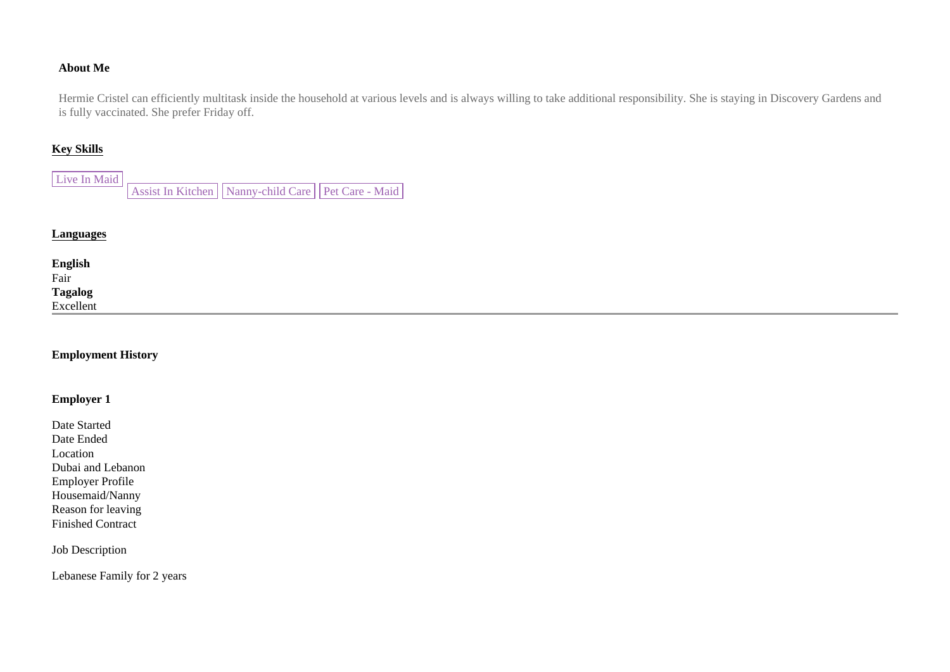#### **About Me**

Hermie Cristel can efficiently multitask inside the household at various levels and is always willing to take additional responsibility. She is staying in Discovery Gardens and is fully vaccinated. She prefer Friday off.

#### **Key Skills**

| Live In Maid |                                                        |  |
|--------------|--------------------------------------------------------|--|
|              | Assist In Kitchen   Nanny-child Care   Pet Care - Maid |  |

#### **Languages**

| <b>English</b><br>Fair |  |  |
|------------------------|--|--|
|                        |  |  |
| Tagalog<br>Excellent   |  |  |
|                        |  |  |
|                        |  |  |

#### **Employment History**

#### **Employer 1**

Date Started Date Ended Location Dubai and Lebanon Employer Profile Housemaid/Nanny Reason for leaving Finished Contract

#### Job Description

Lebanese Family for 2 years